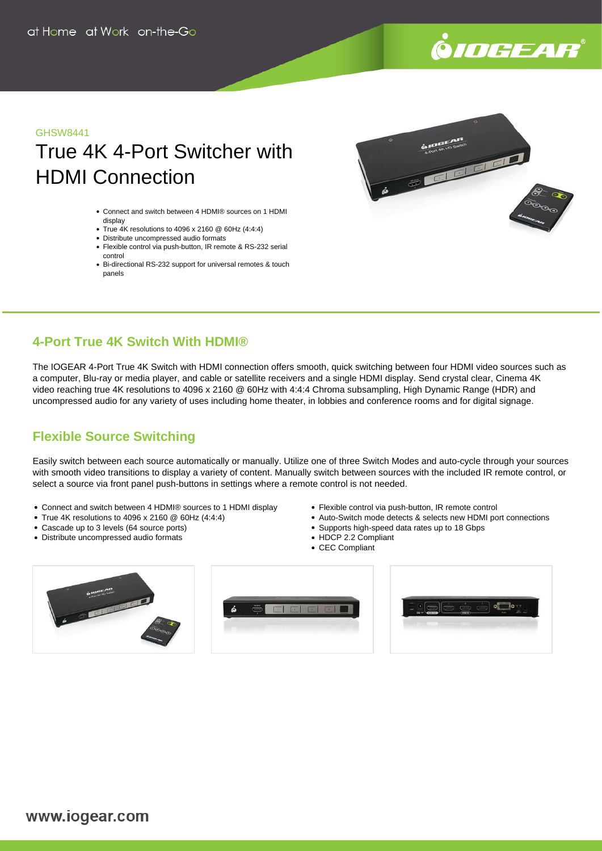# .<br>©IOGEAR

#### GHSW8441

## True 4K 4-Port Switcher with HDMI Connection

- Connect and switch between 4 HDMI® sources on 1 HDMI display
- True 4K resolutions to 4096 x 2160 @ 60Hz (4:4:4)
- Distribute uncompressed audio formats
- Flexible control via push-button, IR remote & RS-232 serial control
- Bi-directional RS-232 support for universal remotes & touch panels



#### **4-Port True 4K Switch With HDMI®**

The IOGEAR 4-Port True 4K Switch with HDMI connection offers smooth, quick switching between four HDMI video sources such as a computer, Blu-ray or media player, and cable or satellite receivers and a single HDMI display. Send crystal clear, Cinema 4K video reaching true 4K resolutions to 4096 x 2160 @ 60Hz with 4:4:4 Chroma subsampling, High Dynamic Range (HDR) and uncompressed audio for any variety of uses including home theater, in lobbies and conference rooms and for digital signage.

### **Flexible Source Switching**

Easily switch between each source automatically or manually. Utilize one of three Switch Modes and auto-cycle through your sources with smooth video transitions to display a variety of content. Manually switch between sources with the included IR remote control, or select a source via front panel push-buttons in settings where a remote control is not needed.

- Connect and switch between 4 HDMI® sources to 1 HDMI display
- True 4K resolutions to 4096 x 2160  $@$  60Hz (4:4:4)
- Cascade up to 3 levels (64 source ports)
- Distribute uncompressed audio formats
- Flexible control via push-button, IR remote control
- Auto-Switch mode detects & selects new HDMI port connections
- Supports high-speed data rates up to 18 Gbps
- HDCP 2.2 Compliant
- CEC Compliant